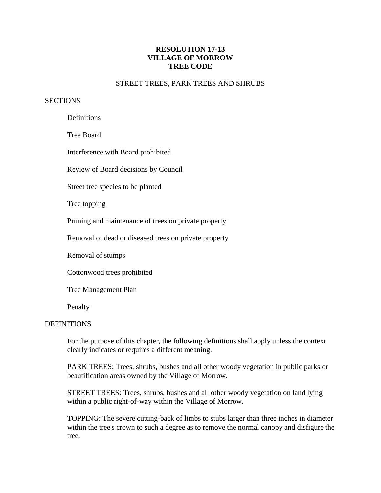# **RESOLUTION 17-13 VILLAGE OF MORROW TREE CODE**

### STREET TREES, PARK TREES AND SHRUBS

#### **SECTIONS**

**Definitions** 

Tree Board

Interference with Board prohibited

Review of Board decisions by Council

Street tree species to be planted

Tree topping

Pruning and maintenance of trees on private property

Removal of dead or diseased trees on private property

Removal of stumps

Cottonwood trees prohibited

Tree Management Plan

Penalty

#### **DEFINITIONS**

For the purpose of this chapter, the following definitions shall apply unless the context clearly indicates or requires a different meaning.

 PARK TREES: Trees, shrubs, bushes and all other woody vegetation in public parks or beautification areas owned by the Village of Morrow.

 STREET TREES: Trees, shrubs, bushes and all other woody vegetation on land lying within a public right-of-way within the Village of Morrow.

 TOPPING: The severe cutting-back of limbs to stubs larger than three inches in diameter within the tree's crown to such a degree as to remove the normal canopy and disfigure the tree.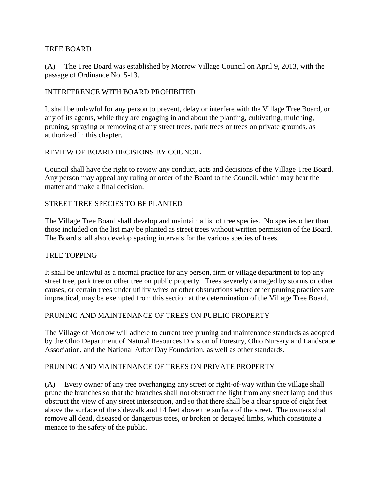#### TREE BOARD

(A) The Tree Board was established by Morrow Village Council on April 9, 2013, with the passage of Ordinance No. 5-13.

### INTERFERENCE WITH BOARD PROHIBITED

It shall be unlawful for any person to prevent, delay or interfere with the Village Tree Board, or any of its agents, while they are engaging in and about the planting, cultivating, mulching, pruning, spraying or removing of any street trees, park trees or trees on private grounds, as authorized in this chapter.

### REVIEW OF BOARD DECISIONS BY COUNCIL

Council shall have the right to review any conduct, acts and decisions of the Village Tree Board. Any person may appeal any ruling or order of the Board to the Council, which may hear the matter and make a final decision.

#### STREET TREE SPECIES TO BE PLANTED

The Village Tree Board shall develop and maintain a list of tree species. No species other than those included on the list may be planted as street trees without written permission of the Board. The Board shall also develop spacing intervals for the various species of trees.

### TREE TOPPING

It shall be unlawful as a normal practice for any person, firm or village department to top any street tree, park tree or other tree on public property. Trees severely damaged by storms or other causes, or certain trees under utility wires or other obstructions where other pruning practices are impractical, may be exempted from this section at the determination of the Village Tree Board.

### PRUNING AND MAINTENANCE OF TREES ON PUBLIC PROPERTY

The Village of Morrow will adhere to current tree pruning and maintenance standards as adopted by the Ohio Department of Natural Resources Division of Forestry, Ohio Nursery and Landscape Association, and the National Arbor Day Foundation, as well as other standards.

### PRUNING AND MAINTENANCE OF TREES ON PRIVATE PROPERTY

(A) Every owner of any tree overhanging any street or right-of-way within the village shall prune the branches so that the branches shall not obstruct the light from any street lamp and thus obstruct the view of any street intersection, and so that there shall be a clear space of eight feet above the surface of the sidewalk and 14 feet above the surface of the street. The owners shall remove all dead, diseased or dangerous trees, or broken or decayed limbs, which constitute a menace to the safety of the public.